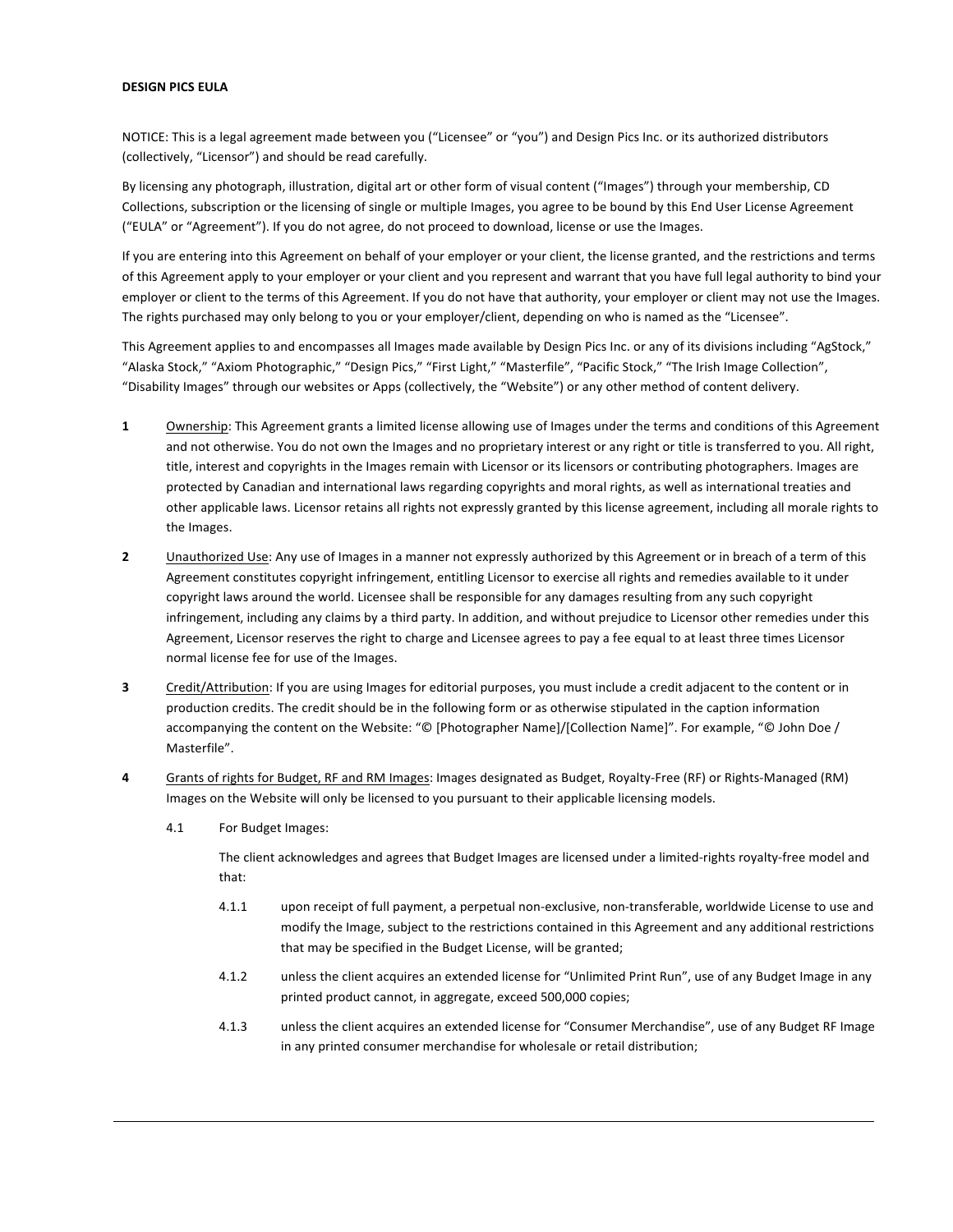## **DESIGN PICS EULA**

NOTICE: This is a legal agreement made between you ("Licensee" or "you") and Design Pics Inc. or its authorized distributors (collectively, "Licensor") and should be read carefully.

By licensing any photograph, illustration, digital art or other form of visual content ("Images") through your membership, CD Collections, subscription or the licensing of single or multiple Images, you agree to be bound by this End User License Agreement ("EULA" or "Agreement"). If you do not agree, do not proceed to download, license or use the Images.

If you are entering into this Agreement on behalf of your employer or your client, the license granted, and the restrictions and terms of this Agreement apply to your employer or your client and you represent and warrant that you have full legal authority to bind your employer or client to the terms of this Agreement. If you do not have that authority, your employer or client may not use the Images. The rights purchased may only belong to you or your employer/client, depending on who is named as the "Licensee".

This Agreement applies to and encompasses all Images made available by Design Pics Inc. or any of its divisions including "AgStock," "Alaska Stock," "Axiom Photographic," "Design Pics," "First Light," "Masterfile", "Pacific Stock," "The Irish Image Collection", "Disability Images" through our websites or Apps (collectively, the "Website") or any other method of content delivery.

- **1** Ownership: This Agreement grants a limited license allowing use of Images under the terms and conditions of this Agreement and not otherwise. You do not own the Images and no proprietary interest or any right or title is transferred to you. All right, title, interest and copyrights in the Images remain with Licensor or its licensors or contributing photographers. Images are protected by Canadian and international laws regarding copyrights and moral rights, as well as international treaties and other applicable laws. Licensor retains all rights not expressly granted by this license agreement, including all morale rights to the Images.
- **2** Unauthorized Use: Any use of Images in a manner not expressly authorized by this Agreement or in breach of a term of this Agreement constitutes copyright infringement, entitling Licensor to exercise all rights and remedies available to it under copyright laws around the world. Licensee shall be responsible for any damages resulting from any such copyright infringement, including any claims by a third party. In addition, and without prejudice to Licensor other remedies under this Agreement, Licensor reserves the right to charge and Licensee agrees to pay a fee equal to at least three times Licensor normal license fee for use of the Images.
- **3** Credit/Attribution: If you are using Images for editorial purposes, you must include a credit adjacent to the content or in production credits. The credit should be in the following form or as otherwise stipulated in the caption information accompanying the content on the Website: "© [Photographer Name]/[Collection Name]". For example, "© John Doe / Masterfile".
- 4 Grants of rights for Budget, RF and RM Images: Images designated as Budget, Royalty-Free (RF) or Rights-Managed (RM) Images on the Website will only be licensed to you pursuant to their applicable licensing models.
	- 4.1 For Budget Images:

The client acknowledges and agrees that Budget Images are licensed under a limited-rights royalty-free model and that:

- 4.1.1 upon receipt of full payment, a perpetual non-exclusive, non-transferable, worldwide License to use and modify the Image, subject to the restrictions contained in this Agreement and any additional restrictions that may be specified in the Budget License, will be granted;
- 4.1.2 unless the client acquires an extended license for "Unlimited Print Run", use of any Budget Image in any printed product cannot, in aggregate, exceed 500,000 copies;
- 4.1.3 unless the client acquires an extended license for "Consumer Merchandise", use of any Budget RF Image in any printed consumer merchandise for wholesale or retail distribution;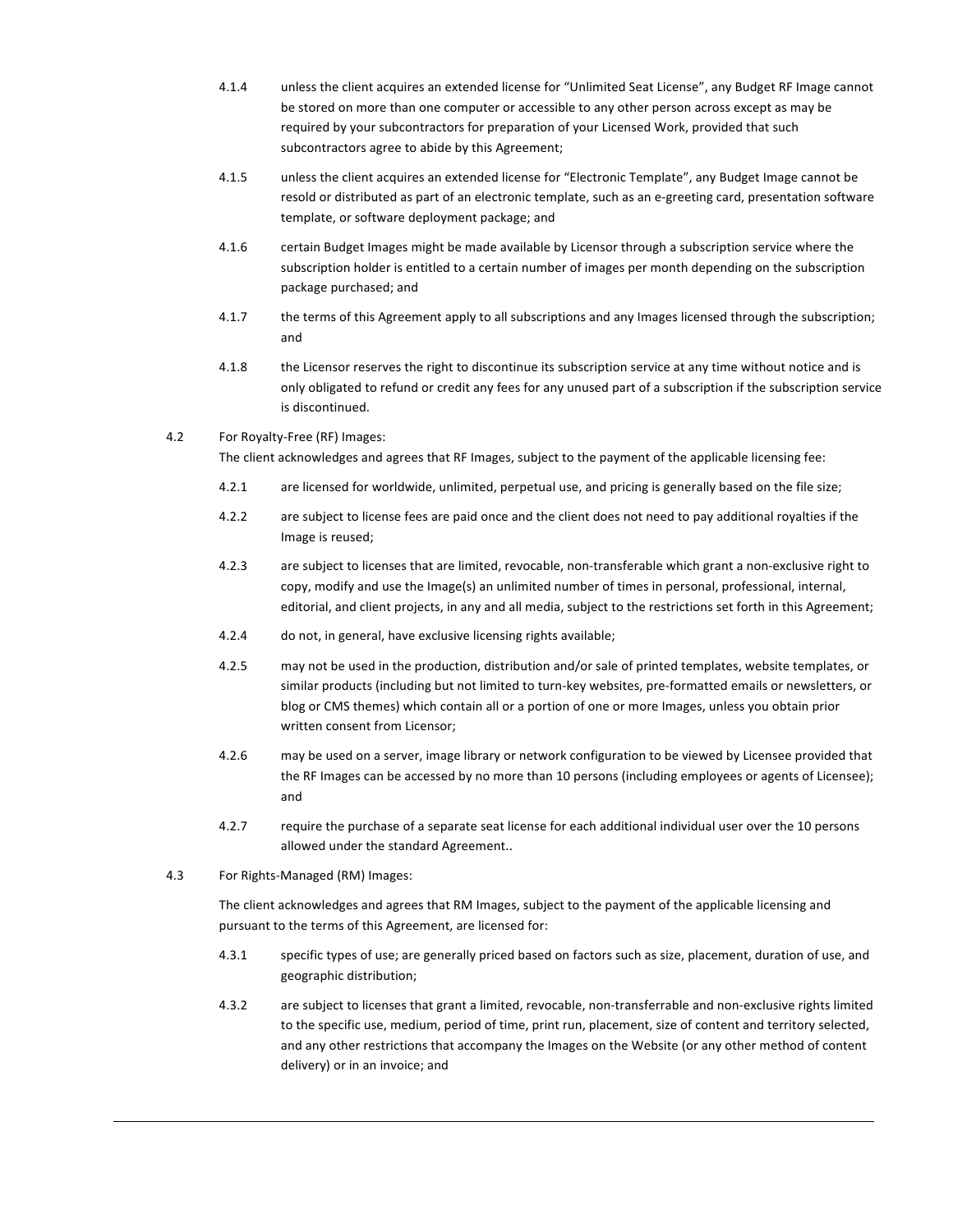- 4.1.4 unless the client acquires an extended license for "Unlimited Seat License", any Budget RF Image cannot be stored on more than one computer or accessible to any other person across except as may be required by your subcontractors for preparation of your Licensed Work, provided that such subcontractors agree to abide by this Agreement;
- 4.1.5 unless the client acquires an extended license for "Electronic Template", any Budget Image cannot be resold or distributed as part of an electronic template, such as an e-greeting card, presentation software template, or software deployment package; and
- 4.1.6 certain Budget Images might be made available by Licensor through a subscription service where the subscription holder is entitled to a certain number of images per month depending on the subscription package purchased; and
- 4.1.7 the terms of this Agreement apply to all subscriptions and any Images licensed through the subscription; and
- 4.1.8 the Licensor reserves the right to discontinue its subscription service at any time without notice and is only obligated to refund or credit any fees for any unused part of a subscription if the subscription service is discontinued.
- 4.2 For Royalty-Free (RF) Images:

The client acknowledges and agrees that RF Images, subject to the payment of the applicable licensing fee:

- 4.2.1 are licensed for worldwide, unlimited, perpetual use, and pricing is generally based on the file size;
- 4.2.2 are subject to license fees are paid once and the client does not need to pay additional royalties if the Image is reused;
- 4.2.3 are subject to licenses that are limited, revocable, non-transferable which grant a non-exclusive right to copy, modify and use the Image(s) an unlimited number of times in personal, professional, internal, editorial, and client projects, in any and all media, subject to the restrictions set forth in this Agreement;
- 4.2.4 do not, in general, have exclusive licensing rights available;
- 4.2.5 may not be used in the production, distribution and/or sale of printed templates, website templates, or similar products (including but not limited to turn-key websites, pre-formatted emails or newsletters, or blog or CMS themes) which contain all or a portion of one or more Images, unless you obtain prior written consent from Licensor;
- 4.2.6 may be used on a server, image library or network configuration to be viewed by Licensee provided that the RF Images can be accessed by no more than 10 persons (including employees or agents of Licensee); and
- 4.2.7 require the purchase of a separate seat license for each additional individual user over the 10 persons allowed under the standard Agreement..
- 4.3 For Rights-Managed (RM) Images:

The client acknowledges and agrees that RM Images, subject to the payment of the applicable licensing and pursuant to the terms of this Agreement, are licensed for:

- 4.3.1 specific types of use; are generally priced based on factors such as size, placement, duration of use, and geographic distribution;
- 4.3.2 are subject to licenses that grant a limited, revocable, non-transferrable and non-exclusive rights limited to the specific use, medium, period of time, print run, placement, size of content and territory selected, and any other restrictions that accompany the Images on the Website (or any other method of content delivery) or in an invoice; and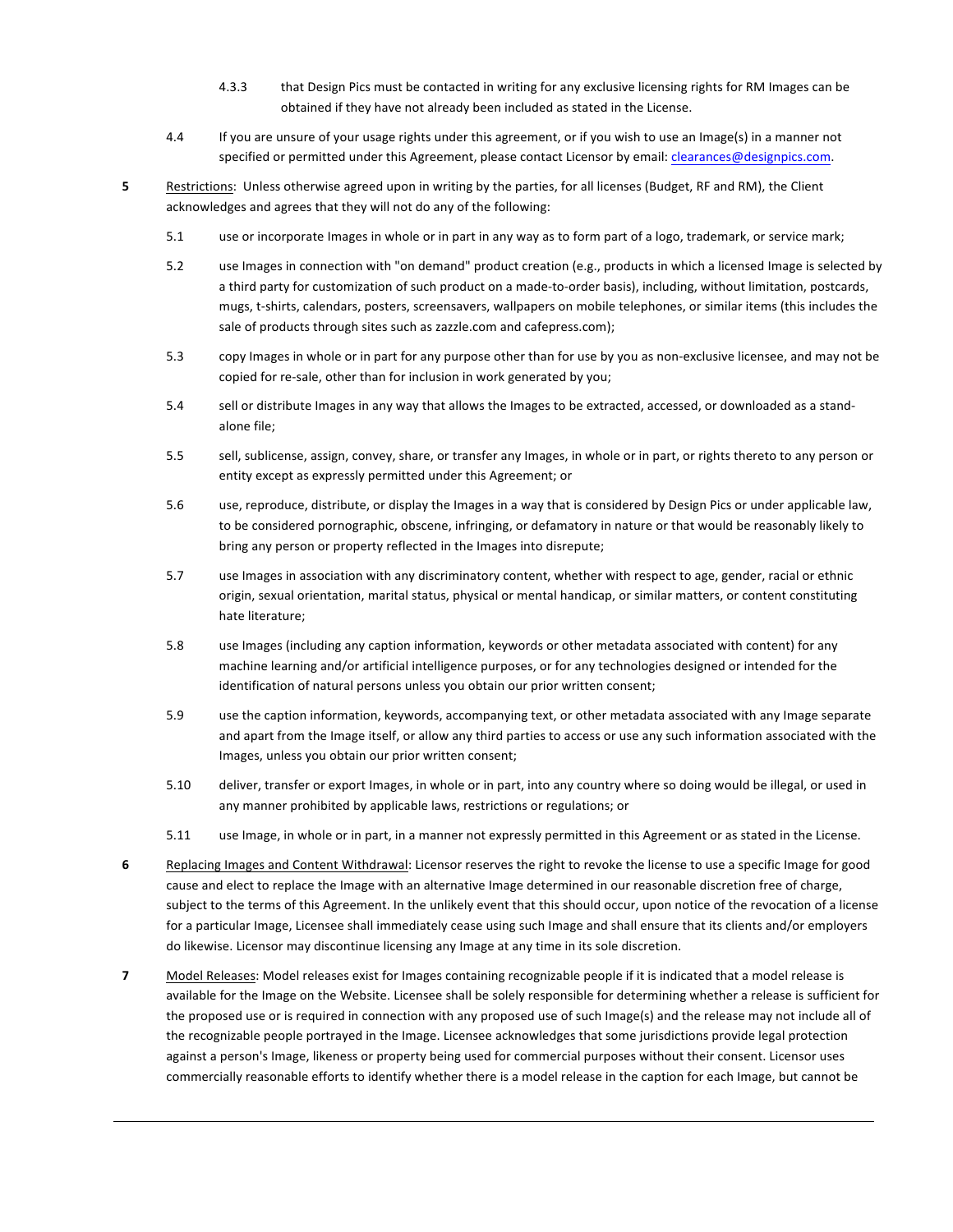- 4.3.3 that Design Pics must be contacted in writing for any exclusive licensing rights for RM Images can be obtained if they have not already been included as stated in the License.
- 4.4 If you are unsure of your usage rights under this agreement, or if you wish to use an Image(s) in a manner not specified or permitted under this Agreement, please contact Licensor by email: clearances@designpics.com.
- **5** Restrictions: Unless otherwise agreed upon in writing by the parties, for all licenses (Budget, RF and RM), the Client acknowledges and agrees that they will not do any of the following:
	- 5.1 use or incorporate Images in whole or in part in any way as to form part of a logo, trademark, or service mark;
	- 5.2 use Images in connection with "on demand" product creation (e.g., products in which a licensed Image is selected by a third party for customization of such product on a made-to-order basis), including, without limitation, postcards, mugs, t-shirts, calendars, posters, screensavers, wallpapers on mobile telephones, or similar items (this includes the sale of products through sites such as zazzle.com and cafepress.com);
	- 5.3 copy Images in whole or in part for any purpose other than for use by you as non-exclusive licensee, and may not be copied for re-sale, other than for inclusion in work generated by you;
	- 5.4 sell or distribute Images in any way that allows the Images to be extracted, accessed, or downloaded as a standalone file;
	- 5.5 sell, sublicense, assign, convey, share, or transfer any Images, in whole or in part, or rights thereto to any person or entity except as expressly permitted under this Agreement; or
	- 5.6 use, reproduce, distribute, or display the Images in a way that is considered by Design Pics or under applicable law, to be considered pornographic, obscene, infringing, or defamatory in nature or that would be reasonably likely to bring any person or property reflected in the Images into disrepute;
	- 5.7 use Images in association with any discriminatory content, whether with respect to age, gender, racial or ethnic origin, sexual orientation, marital status, physical or mental handicap, or similar matters, or content constituting hate literature;
	- 5.8 use Images (including any caption information, keywords or other metadata associated with content) for any machine learning and/or artificial intelligence purposes, or for any technologies designed or intended for the identification of natural persons unless you obtain our prior written consent;
	- 5.9 use the caption information, keywords, accompanying text, or other metadata associated with any Image separate and apart from the Image itself, or allow any third parties to access or use any such information associated with the Images, unless you obtain our prior written consent;
	- 5.10 deliver, transfer or export Images, in whole or in part, into any country where so doing would be illegal, or used in any manner prohibited by applicable laws, restrictions or regulations; or
	- 5.11 use Image, in whole or in part, in a manner not expressly permitted in this Agreement or as stated in the License.
- **6** Replacing Images and Content Withdrawal: Licensor reserves the right to revoke the license to use a specific Image for good cause and elect to replace the Image with an alternative Image determined in our reasonable discretion free of charge, subject to the terms of this Agreement. In the unlikely event that this should occur, upon notice of the revocation of a license for a particular Image, Licensee shall immediately cease using such Image and shall ensure that its clients and/or employers do likewise. Licensor may discontinue licensing any Image at any time in its sole discretion.
- **7** Model Releases: Model releases exist for Images containing recognizable people if it is indicated that a model release is available for the Image on the Website. Licensee shall be solely responsible for determining whether a release is sufficient for the proposed use or is required in connection with any proposed use of such Image(s) and the release may not include all of the recognizable people portrayed in the Image. Licensee acknowledges that some jurisdictions provide legal protection against a person's Image, likeness or property being used for commercial purposes without their consent. Licensor uses commercially reasonable efforts to identify whether there is a model release in the caption for each Image, but cannot be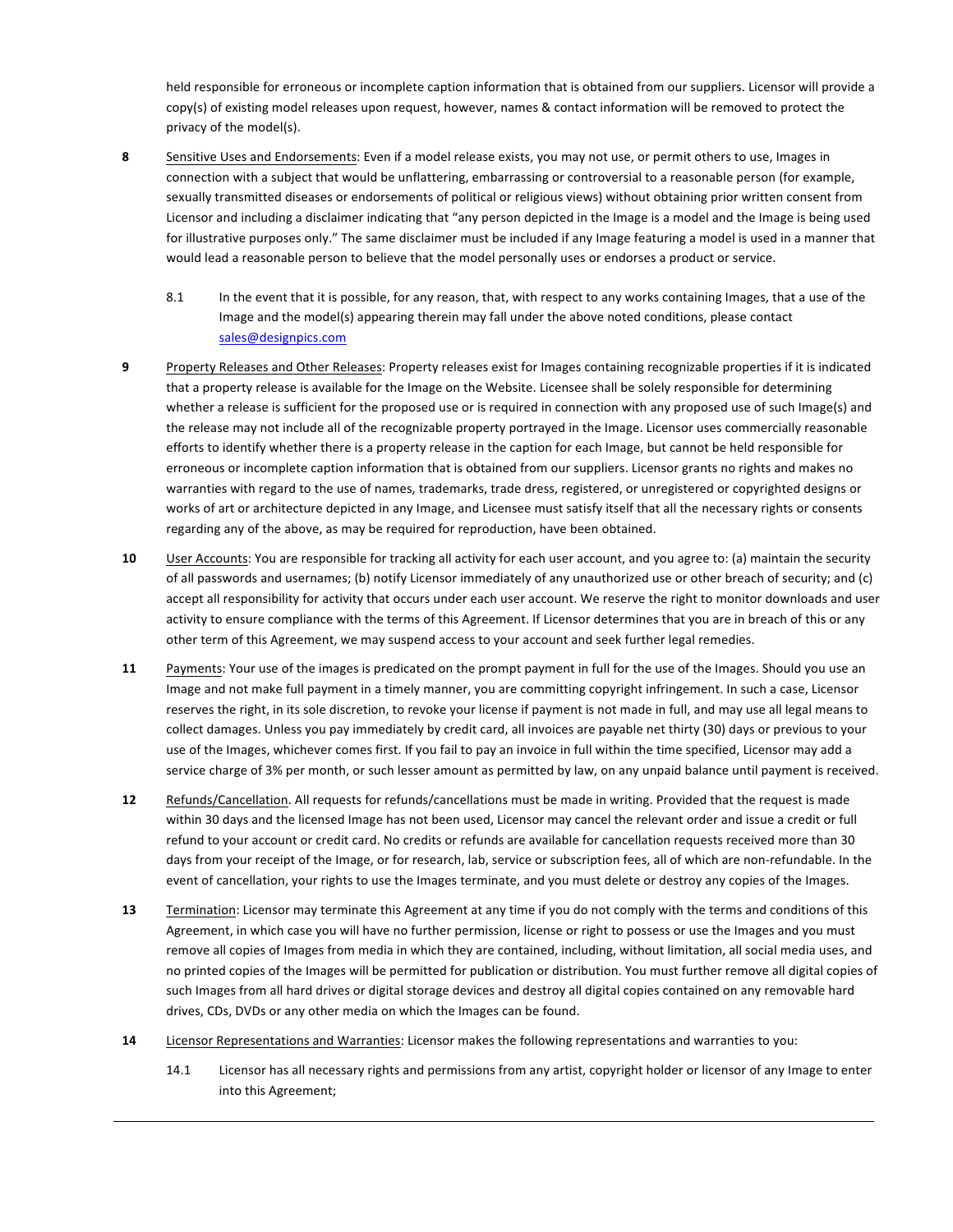held responsible for erroneous or incomplete caption information that is obtained from our suppliers. Licensor will provide a copy(s) of existing model releases upon request, however, names & contact information will be removed to protect the privacy of the model(s).

- 8 Sensitive Uses and Endorsements: Even if a model release exists, you may not use, or permit others to use, Images in connection with a subject that would be unflattering, embarrassing or controversial to a reasonable person (for example, sexually transmitted diseases or endorsements of political or religious views) without obtaining prior written consent from Licensor and including a disclaimer indicating that "any person depicted in the Image is a model and the Image is being used for illustrative purposes only." The same disclaimer must be included if any Image featuring a model is used in a manner that would lead a reasonable person to believe that the model personally uses or endorses a product or service.
	- 8.1 In the event that it is possible, for any reason, that, with respect to any works containing Images, that a use of the Image and the model(s) appearing therein may fall under the above noted conditions, please contact sales@designpics.com
- **9** Property Releases and Other Releases: Property releases exist for Images containing recognizable properties if it is indicated that a property release is available for the Image on the Website. Licensee shall be solely responsible for determining whether a release is sufficient for the proposed use or is required in connection with any proposed use of such Image(s) and the release may not include all of the recognizable property portrayed in the Image. Licensor uses commercially reasonable efforts to identify whether there is a property release in the caption for each Image, but cannot be held responsible for erroneous or incomplete caption information that is obtained from our suppliers. Licensor grants no rights and makes no warranties with regard to the use of names, trademarks, trade dress, registered, or unregistered or copyrighted designs or works of art or architecture depicted in any Image, and Licensee must satisfy itself that all the necessary rights or consents regarding any of the above, as may be required for reproduction, have been obtained.
- **10** User Accounts: You are responsible for tracking all activity for each user account, and you agree to: (a) maintain the security of all passwords and usernames; (b) notify Licensor immediately of any unauthorized use or other breach of security; and (c) accept all responsibility for activity that occurs under each user account. We reserve the right to monitor downloads and user activity to ensure compliance with the terms of this Agreement. If Licensor determines that you are in breach of this or any other term of this Agreement, we may suspend access to your account and seek further legal remedies.
- **11** Payments: Your use of the images is predicated on the prompt payment in full for the use of the Images. Should you use an Image and not make full payment in a timely manner, you are committing copyright infringement. In such a case, Licensor reserves the right, in its sole discretion, to revoke your license if payment is not made in full, and may use all legal means to collect damages. Unless you pay immediately by credit card, all invoices are payable net thirty (30) days or previous to your use of the Images, whichever comes first. If you fail to pay an invoice in full within the time specified, Licensor may add a service charge of 3% per month, or such lesser amount as permitted by law, on any unpaid balance until payment is received.
- **12** Refunds/Cancellation. All requests for refunds/cancellations must be made in writing. Provided that the request is made within 30 days and the licensed Image has not been used, Licensor may cancel the relevant order and issue a credit or full refund to your account or credit card. No credits or refunds are available for cancellation requests received more than 30 days from your receipt of the Image, or for research, lab, service or subscription fees, all of which are non-refundable. In the event of cancellation, your rights to use the Images terminate, and you must delete or destroy any copies of the Images.
- **13** Termination: Licensor may terminate this Agreement at any time if you do not comply with the terms and conditions of this Agreement, in which case you will have no further permission, license or right to possess or use the Images and you must remove all copies of Images from media in which they are contained, including, without limitation, all social media uses, and no printed copies of the Images will be permitted for publication or distribution. You must further remove all digital copies of such Images from all hard drives or digital storage devices and destroy all digital copies contained on any removable hard drives, CDs, DVDs or any other media on which the Images can be found.
- 14 Licensor Representations and Warranties: Licensor makes the following representations and warranties to you:
	- 14.1 Licensor has all necessary rights and permissions from any artist, copyright holder or licensor of any Image to enter into this Agreement;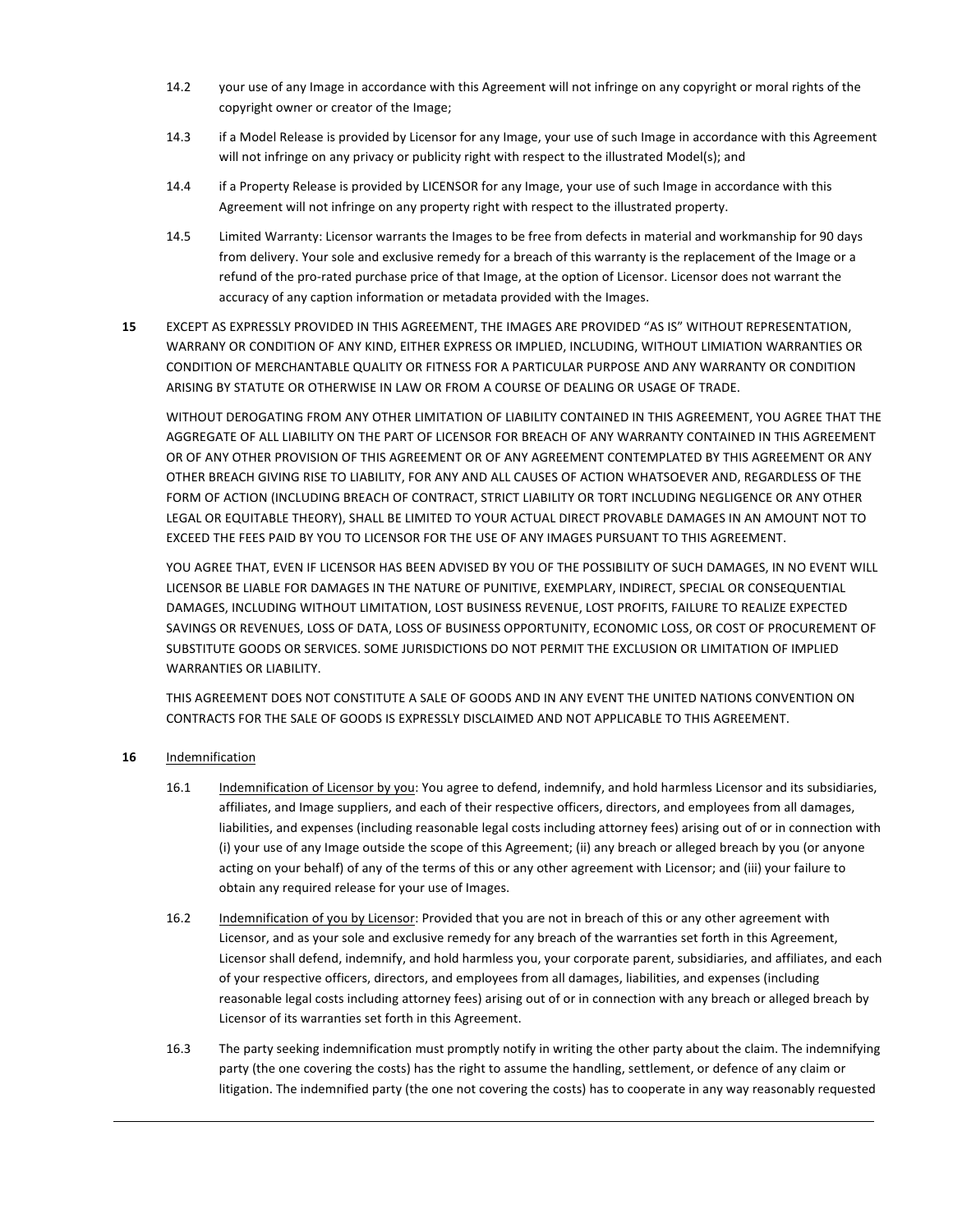- 14.2 your use of any Image in accordance with this Agreement will not infringe on any copyright or moral rights of the copyright owner or creator of the Image;
- 14.3 if a Model Release is provided by Licensor for any Image, your use of such Image in accordance with this Agreement will not infringe on any privacy or publicity right with respect to the illustrated Model(s); and
- 14.4 if a Property Release is provided by LICENSOR for any Image, your use of such Image in accordance with this Agreement will not infringe on any property right with respect to the illustrated property.
- 14.5 Limited Warranty: Licensor warrants the Images to be free from defects in material and workmanship for 90 days from delivery. Your sole and exclusive remedy for a breach of this warranty is the replacement of the Image or a refund of the pro-rated purchase price of that Image, at the option of Licensor. Licensor does not warrant the accuracy of any caption information or metadata provided with the Images.
- **15** EXCEPT AS EXPRESSLY PROVIDED IN THIS AGREEMENT, THE IMAGES ARE PROVIDED "AS IS" WITHOUT REPRESENTATION, WARRANY OR CONDITION OF ANY KIND, EITHER EXPRESS OR IMPLIED, INCLUDING, WITHOUT LIMIATION WARRANTIES OR CONDITION OF MERCHANTABLE QUALITY OR FITNESS FOR A PARTICULAR PURPOSE AND ANY WARRANTY OR CONDITION ARISING BY STATUTE OR OTHERWISE IN LAW OR FROM A COURSE OF DEALING OR USAGE OF TRADE.

WITHOUT DEROGATING FROM ANY OTHER LIMITATION OF LIABILITY CONTAINED IN THIS AGREEMENT, YOU AGREE THAT THE AGGREGATE OF ALL LIABILITY ON THE PART OF LICENSOR FOR BREACH OF ANY WARRANTY CONTAINED IN THIS AGREEMENT OR OF ANY OTHER PROVISION OF THIS AGREEMENT OR OF ANY AGREEMENT CONTEMPLATED BY THIS AGREEMENT OR ANY OTHER BREACH GIVING RISE TO LIABILITY, FOR ANY AND ALL CAUSES OF ACTION WHATSOEVER AND, REGARDLESS OF THE FORM OF ACTION (INCLUDING BREACH OF CONTRACT, STRICT LIABILITY OR TORT INCLUDING NEGLIGENCE OR ANY OTHER LEGAL OR EQUITABLE THEORY), SHALL BE LIMITED TO YOUR ACTUAL DIRECT PROVABLE DAMAGES IN AN AMOUNT NOT TO EXCEED THE FEES PAID BY YOU TO LICENSOR FOR THE USE OF ANY IMAGES PURSUANT TO THIS AGREEMENT.

YOU AGREE THAT, EVEN IF LICENSOR HAS BEEN ADVISED BY YOU OF THE POSSIBILITY OF SUCH DAMAGES, IN NO EVENT WILL LICENSOR BE LIABLE FOR DAMAGES IN THE NATURE OF PUNITIVE, EXEMPLARY, INDIRECT, SPECIAL OR CONSEQUENTIAL DAMAGES, INCLUDING WITHOUT LIMITATION, LOST BUSINESS REVENUE, LOST PROFITS, FAILURE TO REALIZE EXPECTED SAVINGS OR REVENUES, LOSS OF DATA, LOSS OF BUSINESS OPPORTUNITY, ECONOMIC LOSS, OR COST OF PROCUREMENT OF SUBSTITUTE GOODS OR SERVICES. SOME JURISDICTIONS DO NOT PERMIT THE EXCLUSION OR LIMITATION OF IMPLIED WARRANTIES OR LIABILITY.

THIS AGREEMENT DOES NOT CONSTITUTE A SALE OF GOODS AND IN ANY EVENT THE UNITED NATIONS CONVENTION ON CONTRACTS FOR THE SALE OF GOODS IS EXPRESSLY DISCLAIMED AND NOT APPLICABLE TO THIS AGREEMENT.

- **16** Indemnification
	- 16.1 Indemnification of Licensor by you: You agree to defend, indemnify, and hold harmless Licensor and its subsidiaries, affiliates, and Image suppliers, and each of their respective officers, directors, and employees from all damages, liabilities, and expenses (including reasonable legal costs including attorney fees) arising out of or in connection with (i) your use of any Image outside the scope of this Agreement; (ii) any breach or alleged breach by you (or anyone acting on your behalf) of any of the terms of this or any other agreement with Licensor; and (iii) your failure to obtain any required release for your use of Images.
	- 16.2 Indemnification of you by Licensor: Provided that you are not in breach of this or any other agreement with Licensor, and as your sole and exclusive remedy for any breach of the warranties set forth in this Agreement, Licensor shall defend, indemnify, and hold harmless you, your corporate parent, subsidiaries, and affiliates, and each of your respective officers, directors, and employees from all damages, liabilities, and expenses (including reasonable legal costs including attorney fees) arising out of or in connection with any breach or alleged breach by Licensor of its warranties set forth in this Agreement.
	- 16.3 The party seeking indemnification must promptly notify in writing the other party about the claim. The indemnifying party (the one covering the costs) has the right to assume the handling, settlement, or defence of any claim or litigation. The indemnified party (the one not covering the costs) has to cooperate in any way reasonably requested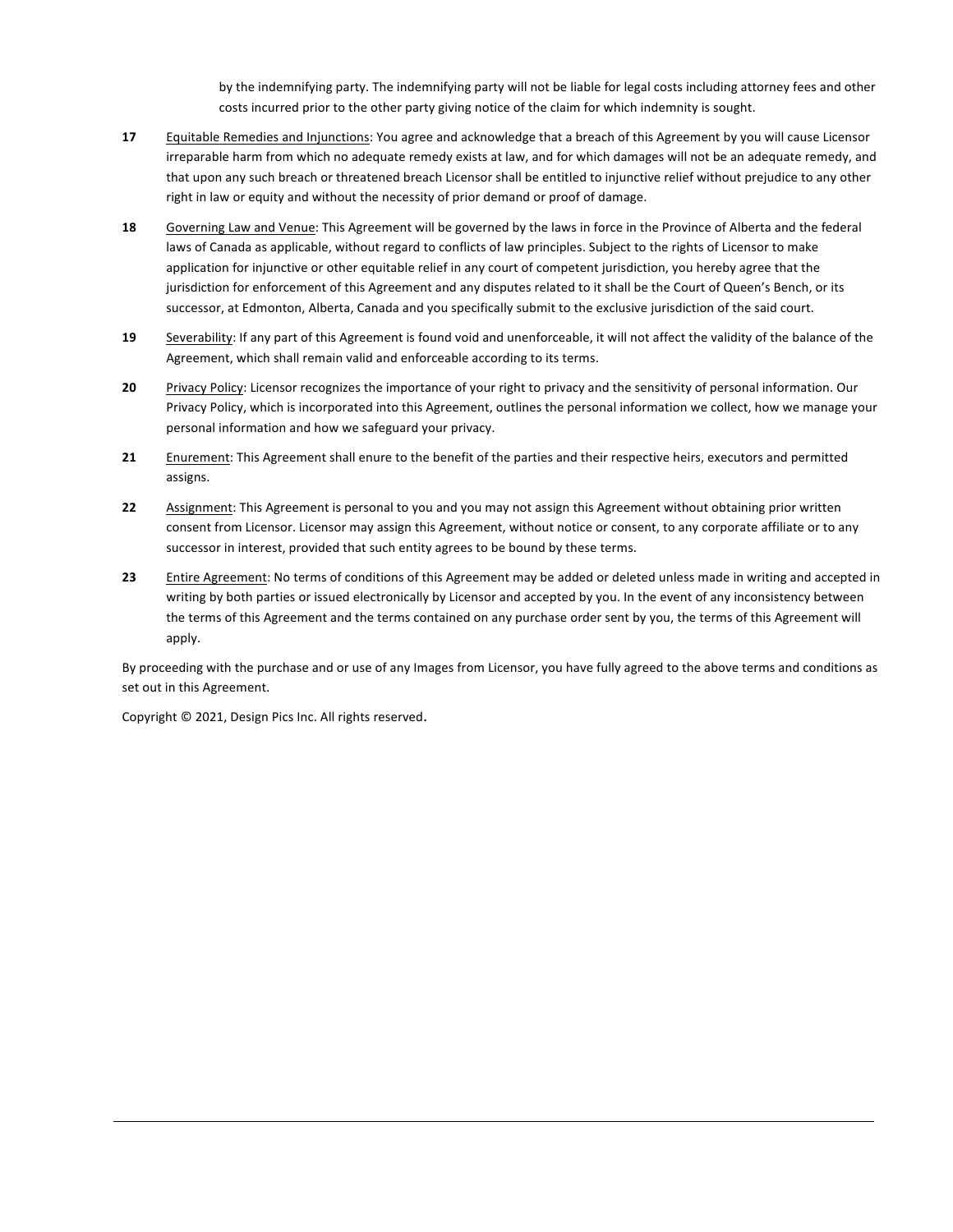by the indemnifying party. The indemnifying party will not be liable for legal costs including attorney fees and other costs incurred prior to the other party giving notice of the claim for which indemnity is sought.

- **17** Equitable Remedies and Injunctions: You agree and acknowledge that a breach of this Agreement by you will cause Licensor irreparable harm from which no adequate remedy exists at law, and for which damages will not be an adequate remedy, and that upon any such breach or threatened breach Licensor shall be entitled to injunctive relief without prejudice to any other right in law or equity and without the necessity of prior demand or proof of damage.
- **18** Governing Law and Venue: This Agreement will be governed by the laws in force in the Province of Alberta and the federal laws of Canada as applicable, without regard to conflicts of law principles. Subject to the rights of Licensor to make application for injunctive or other equitable relief in any court of competent jurisdiction, you hereby agree that the jurisdiction for enforcement of this Agreement and any disputes related to it shall be the Court of Queen's Bench, or its successor, at Edmonton, Alberta, Canada and you specifically submit to the exclusive jurisdiction of the said court.
- **19** Severability: If any part of this Agreement is found void and unenforceable, it will not affect the validity of the balance of the Agreement, which shall remain valid and enforceable according to its terms.
- **20** Privacy Policy: Licensor recognizes the importance of your right to privacy and the sensitivity of personal information. Our Privacy Policy, which is incorporated into this Agreement, outlines the personal information we collect, how we manage your personal information and how we safeguard your privacy.
- 21 Enurement: This Agreement shall enure to the benefit of the parties and their respective heirs, executors and permitted assigns.
- **22** Assignment: This Agreement is personal to you and you may not assign this Agreement without obtaining prior written consent from Licensor. Licensor may assign this Agreement, without notice or consent, to any corporate affiliate or to any successor in interest, provided that such entity agrees to be bound by these terms.
- **23** Entire Agreement: No terms of conditions of this Agreement may be added or deleted unless made in writing and accepted in writing by both parties or issued electronically by Licensor and accepted by you. In the event of any inconsistency between the terms of this Agreement and the terms contained on any purchase order sent by you, the terms of this Agreement will apply.

By proceeding with the purchase and or use of any Images from Licensor, you have fully agreed to the above terms and conditions as set out in this Agreement.

Copyright  $©$  2021, Design Pics Inc. All rights reserved.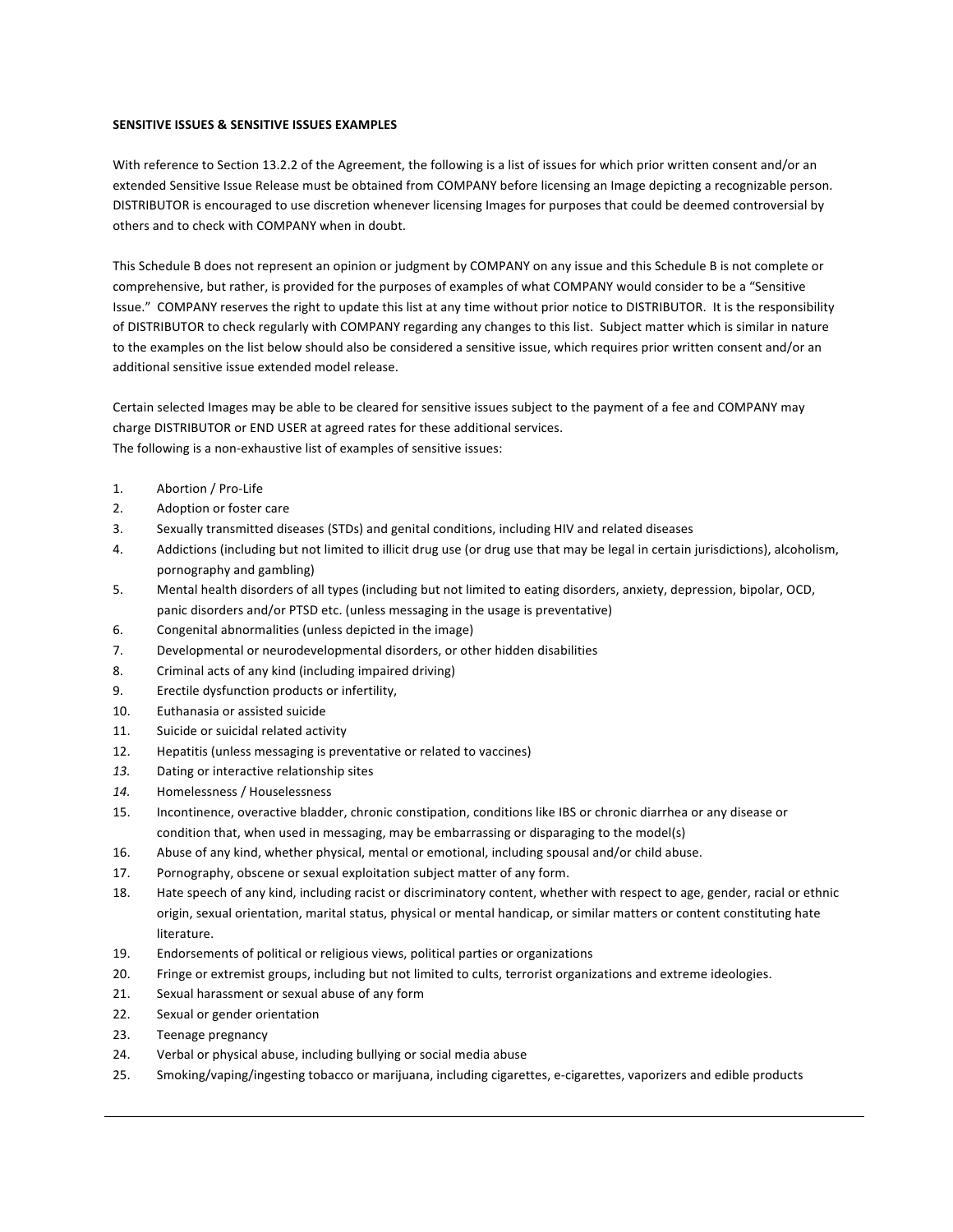## **SENSITIVE ISSUES & SENSITIVE ISSUES EXAMPLES**

With reference to Section 13.2.2 of the Agreement, the following is a list of issues for which prior written consent and/or an extended Sensitive Issue Release must be obtained from COMPANY before licensing an Image depicting a recognizable person. DISTRIBUTOR is encouraged to use discretion whenever licensing Images for purposes that could be deemed controversial by others and to check with COMPANY when in doubt.

This Schedule B does not represent an opinion or judgment by COMPANY on any issue and this Schedule B is not complete or comprehensive, but rather, is provided for the purposes of examples of what COMPANY would consider to be a "Sensitive Issue." COMPANY reserves the right to update this list at any time without prior notice to DISTRIBUTOR. It is the responsibility of DISTRIBUTOR to check regularly with COMPANY regarding any changes to this list. Subject matter which is similar in nature to the examples on the list below should also be considered a sensitive issue, which requires prior written consent and/or an additional sensitive issue extended model release.

Certain selected Images may be able to be cleared for sensitive issues subject to the payment of a fee and COMPANY may charge DISTRIBUTOR or END USER at agreed rates for these additional services. The following is a non-exhaustive list of examples of sensitive issues:

- 1. Abortion / Pro-Life
- 2. Adoption or foster care
- 3. Sexually transmitted diseases (STDs) and genital conditions, including HIV and related diseases
- 4. Addictions (including but not limited to illicit drug use (or drug use that may be legal in certain jurisdictions), alcoholism, pornography and gambling)
- 5. Mental health disorders of all types (including but not limited to eating disorders, anxiety, depression, bipolar, OCD, panic disorders and/or PTSD etc. (unless messaging in the usage is preventative)
- 6. Congenital abnormalities (unless depicted in the image)
- 7. Developmental or neurodevelopmental disorders, or other hidden disabilities
- 8. Criminal acts of any kind (including impaired driving)
- 9. Erectile dysfunction products or infertility,
- 10. Euthanasia or assisted suicide
- 11. Suicide or suicidal related activity
- 12. Hepatitis (unless messaging is preventative or related to vaccines)
- 13. Dating or interactive relationship sites
- 14. Homelessness / Houselessness
- 15. Incontinence, overactive bladder, chronic constipation, conditions like IBS or chronic diarrhea or any disease or condition that, when used in messaging, may be embarrassing or disparaging to the model(s)
- 16. Abuse of any kind, whether physical, mental or emotional, including spousal and/or child abuse.
- 17. Pornography, obscene or sexual exploitation subject matter of any form.
- 18. Hate speech of any kind, including racist or discriminatory content, whether with respect to age, gender, racial or ethnic origin, sexual orientation, marital status, physical or mental handicap, or similar matters or content constituting hate literature.
- 19. Endorsements of political or religious views, political parties or organizations
- 20. Fringe or extremist groups, including but not limited to cults, terrorist organizations and extreme ideologies.
- 21. Sexual harassment or sexual abuse of any form
- 22. Sexual or gender orientation
- 23. Teenage pregnancy
- 24. Verbal or physical abuse, including bullying or social media abuse
- 25. Smoking/vaping/ingesting tobacco or marijuana, including cigarettes, e-cigarettes, vaporizers and edible products